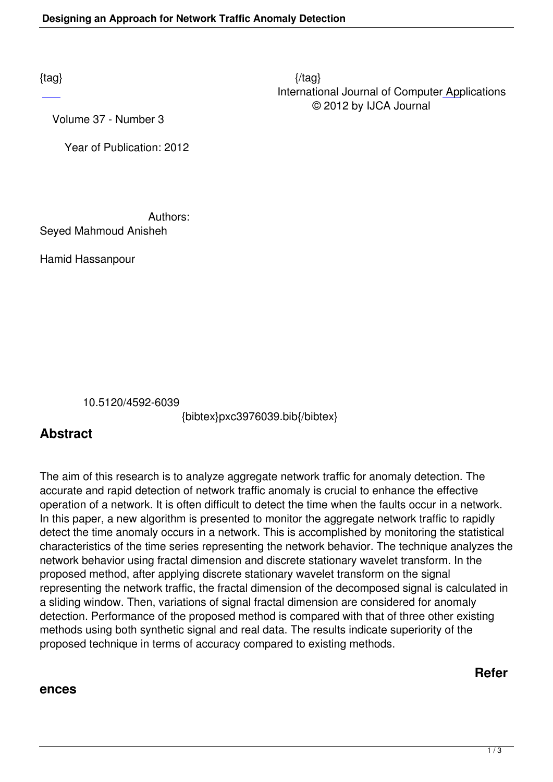$\{tag\}$  International Journal of Computer Applications © 2012 by IJCA Journal

Volume 37 - Number 3

Year of Publication: 2012

Authors:

Seyed Mahmoud Anisheh

Hamid Hassanpour

10.5120/4592-6039

{bibtex}pxc3976039.bib{/bibtex}

## **Abstract**

The aim of this research is to analyze aggregate network traffic for anomaly detection. The accurate and rapid detection of network traffic anomaly is crucial to enhance the effective operation of a network. It is often difficult to detect the time when the faults occur in a network. In this paper, a new algorithm is presented to monitor the aggregate network traffic to rapidly detect the time anomaly occurs in a network. This is accomplished by monitoring the statistical characteristics of the time series representing the network behavior. The technique analyzes the network behavior using fractal dimension and discrete stationary wavelet transform. In the proposed method, after applying discrete stationary wavelet transform on the signal representing the network traffic, the fractal dimension of the decomposed signal is calculated in a sliding window. Then, variations of signal fractal dimension are considered for anomaly detection. Performance of the proposed method is compared with that of three other existing methods using both synthetic signal and real data. The results indicate superiority of the proposed technique in terms of accuracy compared to existing methods.

## **Refer**

## **ences**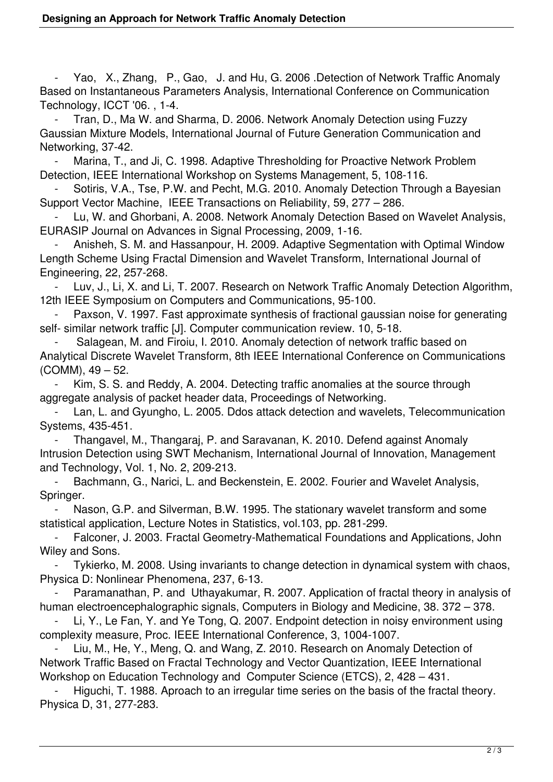Yao, X., Zhang, P., Gao, J. and Hu, G. 2006 .Detection of Network Traffic Anomaly Based on Instantaneous Parameters Analysis, International Conference on Communication Technology, ICCT '06. , 1-4.

 - Tran, D., Ma W. and Sharma, D. 2006. Network Anomaly Detection using Fuzzy Gaussian Mixture Models, International Journal of Future Generation Communication and Networking, 37-42.

Marina, T., and Ji, C. 1998. Adaptive Thresholding for Proactive Network Problem Detection, IEEE International Workshop on Systems Management, 5, 108-116.

Sotiris, V.A., Tse, P.W. and Pecht, M.G. 2010. Anomaly Detection Through a Bayesian Support Vector Machine, IEEE Transactions on Reliability, 59, 277 – 286.

Lu, W. and Ghorbani, A. 2008. Network Anomaly Detection Based on Wavelet Analysis, EURASIP Journal on Advances in Signal Processing, 2009, 1-16.

 - Anisheh, S. M. and Hassanpour, H. 2009. Adaptive Segmentation with Optimal Window Length Scheme Using Fractal Dimension and Wavelet Transform, International Journal of Engineering, 22, 257-268.

Luv, J., Li, X. and Li, T. 2007. Research on Network Traffic Anomaly Detection Algorithm, 12th IEEE Symposium on Computers and Communications, 95-100.

Paxson, V. 1997. Fast approximate synthesis of fractional gaussian noise for generating self- similar network traffic [J]. Computer communication review. 10, 5-18.

Salagean, M. and Firoiu, I. 2010. Anomaly detection of network traffic based on Analytical Discrete Wavelet Transform, 8th IEEE International Conference on Communications (COMM), 49 – 52.

Kim, S. S. and Reddy, A. 2004. Detecting traffic anomalies at the source through aggregate analysis of packet header data, Proceedings of Networking.

Lan, L. and Gyungho, L. 2005. Ddos attack detection and wavelets, Telecommunication Systems, 435-451.

 - Thangavel, M., Thangaraj, P. and Saravanan, K. 2010. Defend against Anomaly Intrusion Detection using SWT Mechanism, International Journal of Innovation, Management and Technology, Vol. 1, No. 2, 209-213.

 - Bachmann, G., Narici, L. and Beckenstein, E. 2002. Fourier and Wavelet Analysis, Springer.

Nason, G.P. and Silverman, B.W. 1995. The stationary wavelet transform and some statistical application, Lecture Notes in Statistics, vol.103, pp. 281-299.

 - Falconer, J. 2003. Fractal Geometry-Mathematical Foundations and Applications, John Wiley and Sons.

Tykierko, M. 2008. Using invariants to change detection in dynamical system with chaos, Physica D: Nonlinear Phenomena, 237, 6-13.

Paramanathan, P. and Uthayakumar, R. 2007. Application of fractal theory in analysis of human electroencephalographic signals, Computers in Biology and Medicine, 38. 372 – 378.

Li, Y., Le Fan, Y. and Ye Tong, Q. 2007. Endpoint detection in noisy environment using complexity measure, Proc. IEEE International Conference, 3, 1004-1007.

 - Liu, M., He, Y., Meng, Q. and Wang, Z. 2010. Research on Anomaly Detection of Network Traffic Based on Fractal Technology and Vector Quantization, IEEE International Workshop on Education Technology and Computer Science (ETCS), 2, 428 – 431.

Higuchi, T. 1988. Aproach to an irregular time series on the basis of the fractal theory. Physica D, 31, 277-283.